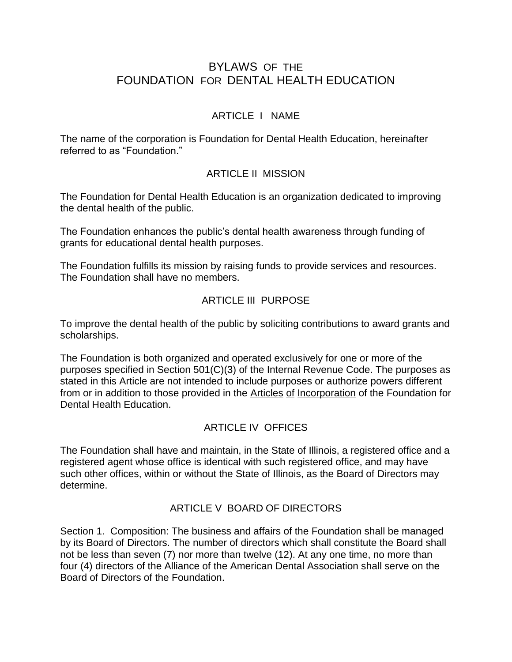# BYLAWS OF THE FOUNDATION FOR DENTAL HEALTH EDUCATION

### ARTICLE I NAME

The name of the corporation is Foundation for Dental Health Education, hereinafter referred to as "Foundation."

### ARTICLE II MISSION

The Foundation for Dental Health Education is an organization dedicated to improving the dental health of the public.

The Foundation enhances the public's dental health awareness through funding of grants for educational dental health purposes.

The Foundation fulfills its mission by raising funds to provide services and resources. The Foundation shall have no members.

### ARTICLE III PURPOSE

To improve the dental health of the public by soliciting contributions to award grants and scholarships.

The Foundation is both organized and operated exclusively for one or more of the purposes specified in Section 501(C)(3) of the Internal Revenue Code. The purposes as stated in this Article are not intended to include purposes or authorize powers different from or in addition to those provided in the Articles of Incorporation of the Foundation for Dental Health Education.

### ARTICLE IV OFFICES

The Foundation shall have and maintain, in the State of Illinois, a registered office and a registered agent whose office is identical with such registered office, and may have such other offices, within or without the State of Illinois, as the Board of Directors may determine.

### ARTICLE V BOARD OF DIRECTORS

Section 1. Composition: The business and affairs of the Foundation shall be managed by its Board of Directors. The number of directors which shall constitute the Board shall not be less than seven (7) nor more than twelve (12). At any one time, no more than four (4) directors of the Alliance of the American Dental Association shall serve on the Board of Directors of the Foundation.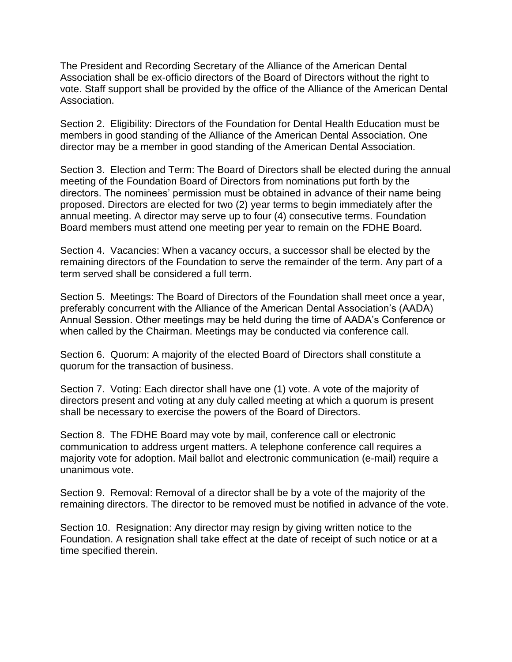The President and Recording Secretary of the Alliance of the American Dental Association shall be ex-officio directors of the Board of Directors without the right to vote. Staff support shall be provided by the office of the Alliance of the American Dental Association.

Section 2. Eligibility: Directors of the Foundation for Dental Health Education must be members in good standing of the Alliance of the American Dental Association. One director may be a member in good standing of the American Dental Association.

Section 3. Election and Term: The Board of Directors shall be elected during the annual meeting of the Foundation Board of Directors from nominations put forth by the directors. The nominees' permission must be obtained in advance of their name being proposed. Directors are elected for two (2) year terms to begin immediately after the annual meeting. A director may serve up to four (4) consecutive terms. Foundation Board members must attend one meeting per year to remain on the FDHE Board.

Section 4. Vacancies: When a vacancy occurs, a successor shall be elected by the remaining directors of the Foundation to serve the remainder of the term. Any part of a term served shall be considered a full term.

Section 5. Meetings: The Board of Directors of the Foundation shall meet once a year, preferably concurrent with the Alliance of the American Dental Association's (AADA) Annual Session. Other meetings may be held during the time of AADA's Conference or when called by the Chairman. Meetings may be conducted via conference call.

Section 6. Quorum: A majority of the elected Board of Directors shall constitute a quorum for the transaction of business.

Section 7. Voting: Each director shall have one (1) vote. A vote of the majority of directors present and voting at any duly called meeting at which a quorum is present shall be necessary to exercise the powers of the Board of Directors.

Section 8. The FDHE Board may vote by mail, conference call or electronic communication to address urgent matters. A telephone conference call requires a majority vote for adoption. Mail ballot and electronic communication (e-mail) require a unanimous vote.

Section 9. Removal: Removal of a director shall be by a vote of the majority of the remaining directors. The director to be removed must be notified in advance of the vote.

Section 10. Resignation: Any director may resign by giving written notice to the Foundation. A resignation shall take effect at the date of receipt of such notice or at a time specified therein.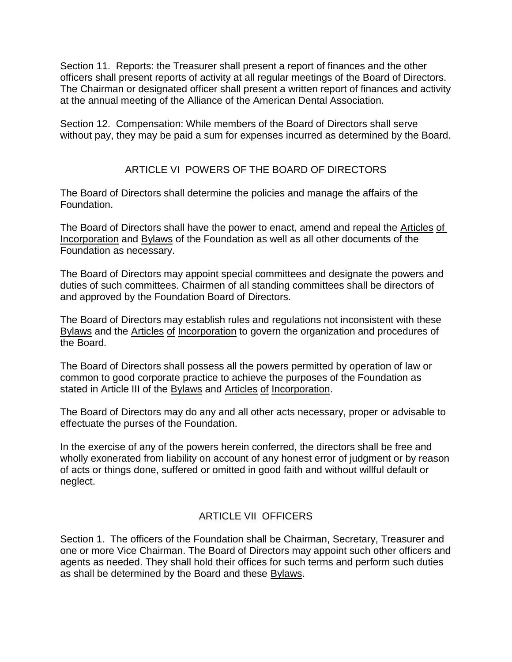Section 11. Reports: the Treasurer shall present a report of finances and the other officers shall present reports of activity at all regular meetings of the Board of Directors. The Chairman or designated officer shall present a written report of finances and activity at the annual meeting of the Alliance of the American Dental Association.

Section 12. Compensation: While members of the Board of Directors shall serve without pay, they may be paid a sum for expenses incurred as determined by the Board.

# ARTICLE VI POWERS OF THE BOARD OF DIRECTORS

The Board of Directors shall determine the policies and manage the affairs of the Foundation.

The Board of Directors shall have the power to enact, amend and repeal the Articles of Incorporation and Bylaws of the Foundation as well as all other documents of the Foundation as necessary.

The Board of Directors may appoint special committees and designate the powers and duties of such committees. Chairmen of all standing committees shall be directors of and approved by the Foundation Board of Directors.

The Board of Directors may establish rules and regulations not inconsistent with these Bylaws and the Articles of Incorporation to govern the organization and procedures of the Board.

The Board of Directors shall possess all the powers permitted by operation of law or common to good corporate practice to achieve the purposes of the Foundation as stated in Article III of the **Bylaws** and **Articles** of Incorporation.

The Board of Directors may do any and all other acts necessary, proper or advisable to effectuate the purses of the Foundation.

In the exercise of any of the powers herein conferred, the directors shall be free and wholly exonerated from liability on account of any honest error of judgment or by reason of acts or things done, suffered or omitted in good faith and without willful default or neglect.

### ARTICLE VII OFFICERS

Section 1. The officers of the Foundation shall be Chairman, Secretary, Treasurer and one or more Vice Chairman. The Board of Directors may appoint such other officers and agents as needed. They shall hold their offices for such terms and perform such duties as shall be determined by the Board and these Bylaws.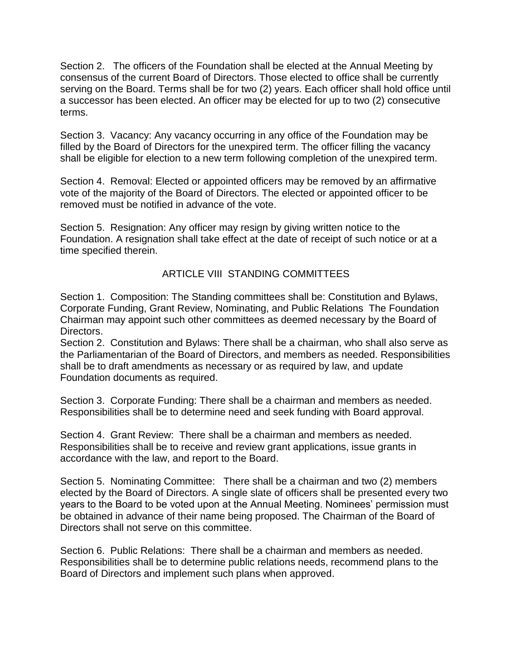Section 2. The officers of the Foundation shall be elected at the Annual Meeting by consensus of the current Board of Directors. Those elected to office shall be currently serving on the Board. Terms shall be for two (2) years. Each officer shall hold office until a successor has been elected. An officer may be elected for up to two (2) consecutive terms.

Section 3. Vacancy: Any vacancy occurring in any office of the Foundation may be filled by the Board of Directors for the unexpired term. The officer filling the vacancy shall be eligible for election to a new term following completion of the unexpired term.

Section 4. Removal: Elected or appointed officers may be removed by an affirmative vote of the majority of the Board of Directors. The elected or appointed officer to be removed must be notified in advance of the vote.

Section 5. Resignation: Any officer may resign by giving written notice to the Foundation. A resignation shall take effect at the date of receipt of such notice or at a time specified therein.

# ARTICLE VIII STANDING COMMITTEES

Section 1. Composition: The Standing committees shall be: Constitution and Bylaws, Corporate Funding, Grant Review, Nominating, and Public Relations The Foundation Chairman may appoint such other committees as deemed necessary by the Board of Directors.

Section 2. Constitution and Bylaws: There shall be a chairman, who shall also serve as the Parliamentarian of the Board of Directors, and members as needed. Responsibilities shall be to draft amendments as necessary or as required by law, and update Foundation documents as required.

Section 3. Corporate Funding: There shall be a chairman and members as needed. Responsibilities shall be to determine need and seek funding with Board approval.

Section 4. Grant Review: There shall be a chairman and members as needed. Responsibilities shall be to receive and review grant applications, issue grants in accordance with the law, and report to the Board.

Section 5. Nominating Committee: There shall be a chairman and two (2) members elected by the Board of Directors. A single slate of officers shall be presented every two years to the Board to be voted upon at the Annual Meeting. Nominees' permission must be obtained in advance of their name being proposed. The Chairman of the Board of Directors shall not serve on this committee.

Section 6. Public Relations: There shall be a chairman and members as needed. Responsibilities shall be to determine public relations needs, recommend plans to the Board of Directors and implement such plans when approved.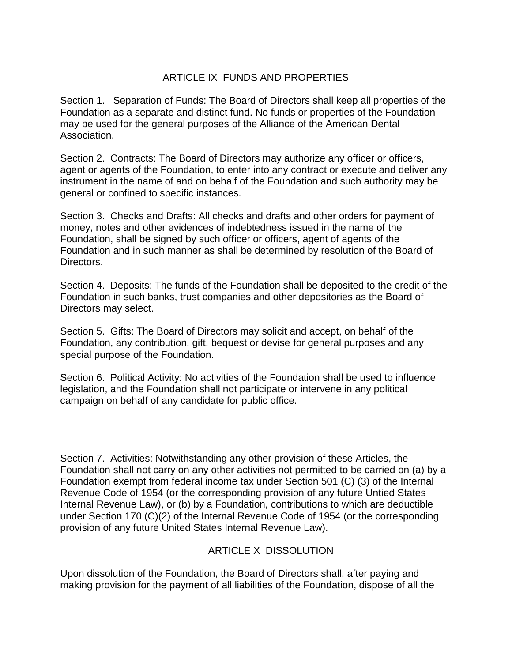### ARTICLE IX FUNDS AND PROPERTIES

Section 1. Separation of Funds: The Board of Directors shall keep all properties of the Foundation as a separate and distinct fund. No funds or properties of the Foundation may be used for the general purposes of the Alliance of the American Dental Association.

Section 2. Contracts: The Board of Directors may authorize any officer or officers, agent or agents of the Foundation, to enter into any contract or execute and deliver any instrument in the name of and on behalf of the Foundation and such authority may be general or confined to specific instances.

Section 3. Checks and Drafts: All checks and drafts and other orders for payment of money, notes and other evidences of indebtedness issued in the name of the Foundation, shall be signed by such officer or officers, agent of agents of the Foundation and in such manner as shall be determined by resolution of the Board of Directors.

Section 4. Deposits: The funds of the Foundation shall be deposited to the credit of the Foundation in such banks, trust companies and other depositories as the Board of Directors may select.

Section 5. Gifts: The Board of Directors may solicit and accept, on behalf of the Foundation, any contribution, gift, bequest or devise for general purposes and any special purpose of the Foundation.

Section 6. Political Activity: No activities of the Foundation shall be used to influence legislation, and the Foundation shall not participate or intervene in any political campaign on behalf of any candidate for public office.

Section 7. Activities: Notwithstanding any other provision of these Articles, the Foundation shall not carry on any other activities not permitted to be carried on (a) by a Foundation exempt from federal income tax under Section 501 (C) (3) of the Internal Revenue Code of 1954 (or the corresponding provision of any future Untied States Internal Revenue Law), or (b) by a Foundation, contributions to which are deductible under Section 170 (C)(2) of the Internal Revenue Code of 1954 (or the corresponding provision of any future United States Internal Revenue Law).

### ARTICLE X DISSOLUTION

Upon dissolution of the Foundation, the Board of Directors shall, after paying and making provision for the payment of all liabilities of the Foundation, dispose of all the